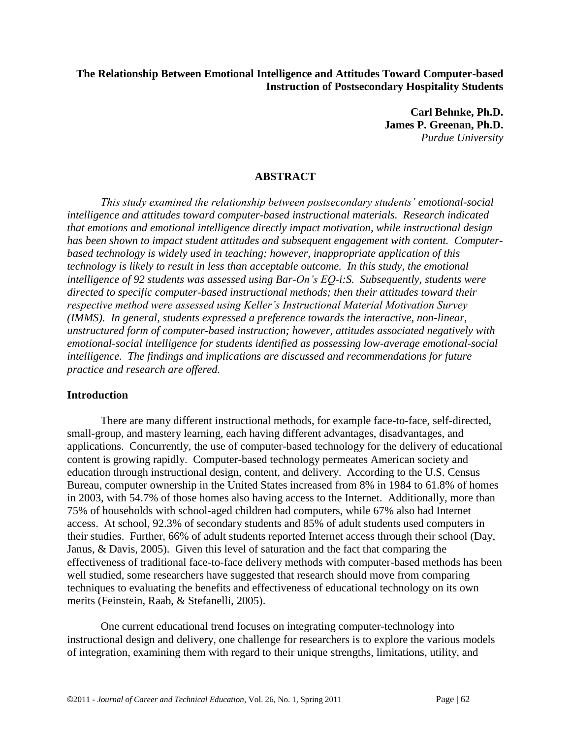## **The Relationship Between Emotional Intelligence and Attitudes Toward Computer-based Instruction of Postsecondary Hospitality Students**

**Carl Behnke, Ph.D. James P. Greenan, Ph.D.** *Purdue University*

## **ABSTRACT**

*This study examined the relationship between postsecondary students' emotional-social intelligence and attitudes toward computer-based instructional materials. Research indicated that emotions and emotional intelligence directly impact motivation, while instructional design has been shown to impact student attitudes and subsequent engagement with content. Computerbased technology is widely used in teaching; however, inappropriate application of this technology is likely to result in less than acceptable outcome. In this study, the emotional intelligence of 92 students was assessed using Bar-On's EQ-i:S. Subsequently, students were directed to specific computer-based instructional methods; then their attitudes toward their respective method were assessed using Keller's Instructional Material Motivation Survey (IMMS). In general, students expressed a preference towards the interactive, non-linear, unstructured form of computer-based instruction; however, attitudes associated negatively with emotional-social intelligence for students identified as possessing low-average emotional-social intelligence. The findings and implications are discussed and recommendations for future practice and research are offered.*

#### **Introduction**

There are many different instructional methods, for example face-to-face, self-directed, small-group, and mastery learning, each having different advantages, disadvantages, and applications. Concurrently, the use of computer-based technology for the delivery of educational content is growing rapidly. Computer-based technology permeates American society and education through instructional design, content, and delivery. According to the U.S. Census Bureau, computer ownership in the United States increased from 8% in 1984 to 61.8% of homes in 2003, with 54.7% of those homes also having access to the Internet. Additionally, more than 75% of households with school-aged children had computers, while 67% also had Internet access. At school, 92.3% of secondary students and 85% of adult students used computers in their studies. Further, 66% of adult students reported Internet access through their school (Day, Janus, & Davis, 2005). Given this level of saturation and the fact that comparing the effectiveness of traditional face-to-face delivery methods with computer-based methods has been well studied, some researchers have suggested that research should move from comparing techniques to evaluating the benefits and effectiveness of educational technology on its own merits (Feinstein, Raab, & Stefanelli, 2005).

One current educational trend focuses on integrating computer-technology into instructional design and delivery, one challenge for researchers is to explore the various models of integration, examining them with regard to their unique strengths, limitations, utility, and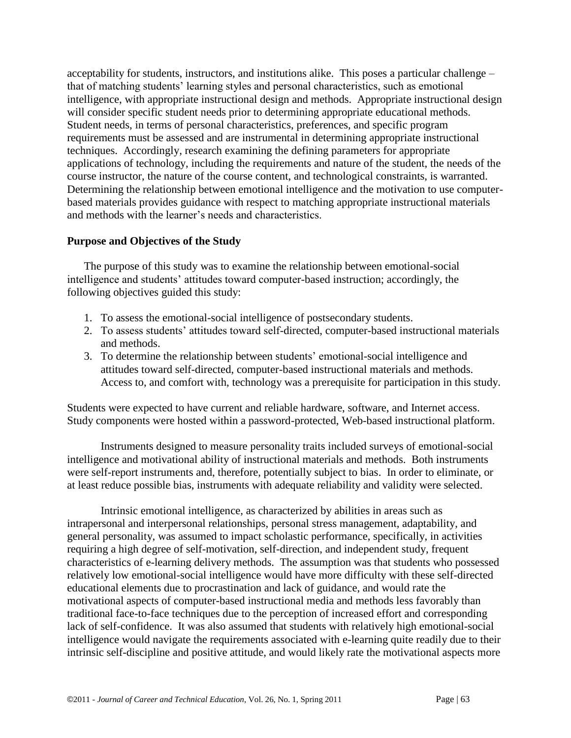acceptability for students, instructors, and institutions alike. This poses a particular challenge – that of matching students' learning styles and personal characteristics, such as emotional intelligence, with appropriate instructional design and methods. Appropriate instructional design will consider specific student needs prior to determining appropriate educational methods. Student needs, in terms of personal characteristics, preferences, and specific program requirements must be assessed and are instrumental in determining appropriate instructional techniques. Accordingly, research examining the defining parameters for appropriate applications of technology, including the requirements and nature of the student, the needs of the course instructor, the nature of the course content, and technological constraints, is warranted. Determining the relationship between emotional intelligence and the motivation to use computerbased materials provides guidance with respect to matching appropriate instructional materials and methods with the learner's needs and characteristics.

# **Purpose and Objectives of the Study**

The purpose of this study was to examine the relationship between emotional-social intelligence and students' attitudes toward computer-based instruction; accordingly, the following objectives guided this study:

- 1. To assess the emotional-social intelligence of postsecondary students.
- 2. To assess students' attitudes toward self-directed, computer-based instructional materials and methods.
- 3. To determine the relationship between students' emotional-social intelligence and attitudes toward self-directed, computer-based instructional materials and methods. Access to, and comfort with, technology was a prerequisite for participation in this study.

Students were expected to have current and reliable hardware, software, and Internet access. Study components were hosted within a password-protected, Web-based instructional platform.

Instruments designed to measure personality traits included surveys of emotional-social intelligence and motivational ability of instructional materials and methods. Both instruments were self-report instruments and, therefore, potentially subject to bias. In order to eliminate, or at least reduce possible bias, instruments with adequate reliability and validity were selected.

Intrinsic emotional intelligence, as characterized by abilities in areas such as intrapersonal and interpersonal relationships, personal stress management, adaptability, and general personality, was assumed to impact scholastic performance, specifically, in activities requiring a high degree of self-motivation, self-direction, and independent study, frequent characteristics of e-learning delivery methods. The assumption was that students who possessed relatively low emotional-social intelligence would have more difficulty with these self-directed educational elements due to procrastination and lack of guidance, and would rate the motivational aspects of computer-based instructional media and methods less favorably than traditional face-to-face techniques due to the perception of increased effort and corresponding lack of self-confidence. It was also assumed that students with relatively high emotional-social intelligence would navigate the requirements associated with e-learning quite readily due to their intrinsic self-discipline and positive attitude, and would likely rate the motivational aspects more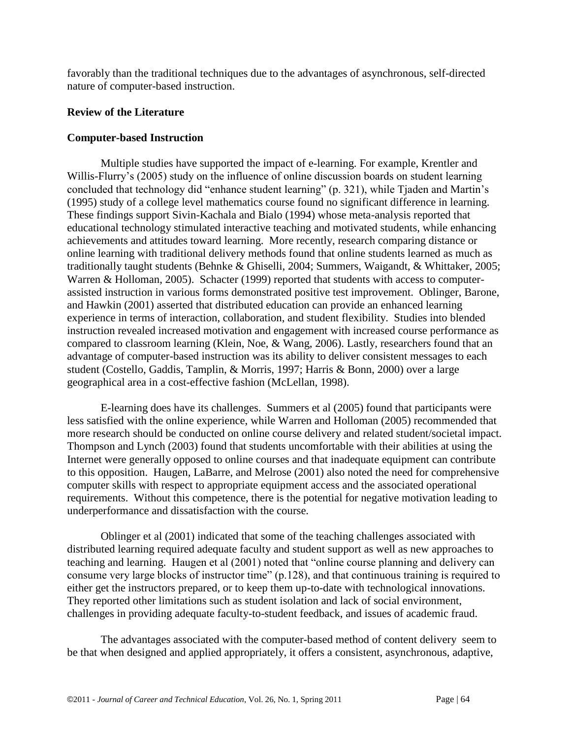favorably than the traditional techniques due to the advantages of asynchronous, self-directed nature of computer-based instruction.

## **Review of the Literature**

# **Computer-based Instruction**

Multiple studies have supported the impact of e-learning. For example, Krentler and Willis-Flurry's (2005) study on the influence of online discussion boards on student learning concluded that technology did "enhance student learning" (p. 321), while Tjaden and Martin's (1995) study of a college level mathematics course found no significant difference in learning. These findings support Sivin-Kachala and Bialo (1994) whose meta-analysis reported that educational technology stimulated interactive teaching and motivated students, while enhancing achievements and attitudes toward learning. More recently, research comparing distance or online learning with traditional delivery methods found that online students learned as much as traditionally taught students (Behnke & Ghiselli, 2004; Summers, Waigandt, & Whittaker, 2005; Warren & Holloman, 2005). Schacter (1999) reported that students with access to computerassisted instruction in various forms demonstrated positive test improvement. Oblinger, Barone, and Hawkin (2001) asserted that distributed education can provide an enhanced learning experience in terms of interaction, collaboration, and student flexibility. Studies into blended instruction revealed increased motivation and engagement with increased course performance as compared to classroom learning (Klein, Noe, & Wang, 2006). Lastly, researchers found that an advantage of computer-based instruction was its ability to deliver consistent messages to each student (Costello, Gaddis, Tamplin, & Morris, 1997; Harris & Bonn, 2000) over a large geographical area in a cost-effective fashion (McLellan, 1998).

E-learning does have its challenges. Summers et al (2005) found that participants were less satisfied with the online experience, while Warren and Holloman (2005) recommended that more research should be conducted on online course delivery and related student/societal impact. Thompson and Lynch (2003) found that students uncomfortable with their abilities at using the Internet were generally opposed to online courses and that inadequate equipment can contribute to this opposition. Haugen, LaBarre, and Melrose (2001) also noted the need for comprehensive computer skills with respect to appropriate equipment access and the associated operational requirements. Without this competence, there is the potential for negative motivation leading to underperformance and dissatisfaction with the course.

Oblinger et al (2001) indicated that some of the teaching challenges associated with distributed learning required adequate faculty and student support as well as new approaches to teaching and learning. Haugen et al (2001) noted that "online course planning and delivery can consume very large blocks of instructor time" (p.128), and that continuous training is required to either get the instructors prepared, or to keep them up-to-date with technological innovations. They reported other limitations such as student isolation and lack of social environment, challenges in providing adequate faculty-to-student feedback, and issues of academic fraud.

The advantages associated with the computer-based method of content delivery seem to be that when designed and applied appropriately, it offers a consistent, asynchronous, adaptive,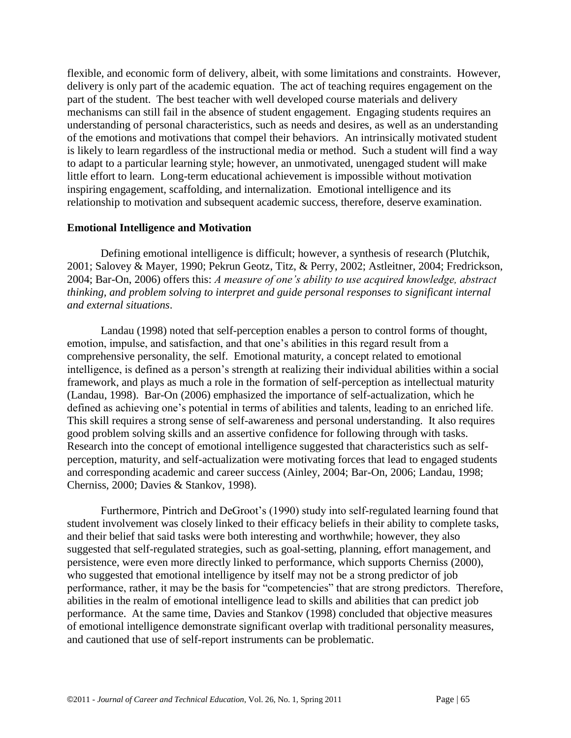flexible, and economic form of delivery, albeit, with some limitations and constraints. However, delivery is only part of the academic equation. The act of teaching requires engagement on the part of the student. The best teacher with well developed course materials and delivery mechanisms can still fail in the absence of student engagement. Engaging students requires an understanding of personal characteristics, such as needs and desires, as well as an understanding of the emotions and motivations that compel their behaviors. An intrinsically motivated student is likely to learn regardless of the instructional media or method. Such a student will find a way to adapt to a particular learning style; however, an unmotivated, unengaged student will make little effort to learn. Long-term educational achievement is impossible without motivation inspiring engagement, scaffolding, and internalization. Emotional intelligence and its relationship to motivation and subsequent academic success, therefore, deserve examination.

#### **Emotional Intelligence and Motivation**

Defining emotional intelligence is difficult; however, a synthesis of research (Plutchik, 2001; Salovey & Mayer, 1990; Pekrun Geotz, Titz, & Perry, 2002; Astleitner, 2004; Fredrickson, 2004; Bar-On, 2006) offers this: *A measure of one's ability to use acquired knowledge, abstract thinking, and problem solving to interpret and guide personal responses to significant internal and external situations*.

Landau (1998) noted that self-perception enables a person to control forms of thought, emotion, impulse, and satisfaction, and that one's abilities in this regard result from a comprehensive personality, the self. Emotional maturity, a concept related to emotional intelligence, is defined as a person's strength at realizing their individual abilities within a social framework, and plays as much a role in the formation of self-perception as intellectual maturity (Landau, 1998). Bar-On (2006) emphasized the importance of self-actualization, which he defined as achieving one's potential in terms of abilities and talents, leading to an enriched life. This skill requires a strong sense of self-awareness and personal understanding. It also requires good problem solving skills and an assertive confidence for following through with tasks. Research into the concept of emotional intelligence suggested that characteristics such as selfperception, maturity, and self-actualization were motivating forces that lead to engaged students and corresponding academic and career success (Ainley, 2004; Bar-On, 2006; Landau, 1998; Cherniss, 2000; Davies & Stankov, 1998).

Furthermore, Pintrich and DeGroot's (1990) study into self-regulated learning found that student involvement was closely linked to their efficacy beliefs in their ability to complete tasks, and their belief that said tasks were both interesting and worthwhile; however, they also suggested that self-regulated strategies, such as goal-setting, planning, effort management, and persistence, were even more directly linked to performance, which supports Cherniss (2000), who suggested that emotional intelligence by itself may not be a strong predictor of job performance, rather, it may be the basis for "competencies" that are strong predictors. Therefore, abilities in the realm of emotional intelligence lead to skills and abilities that can predict job performance. At the same time, Davies and Stankov (1998) concluded that objective measures of emotional intelligence demonstrate significant overlap with traditional personality measures, and cautioned that use of self-report instruments can be problematic.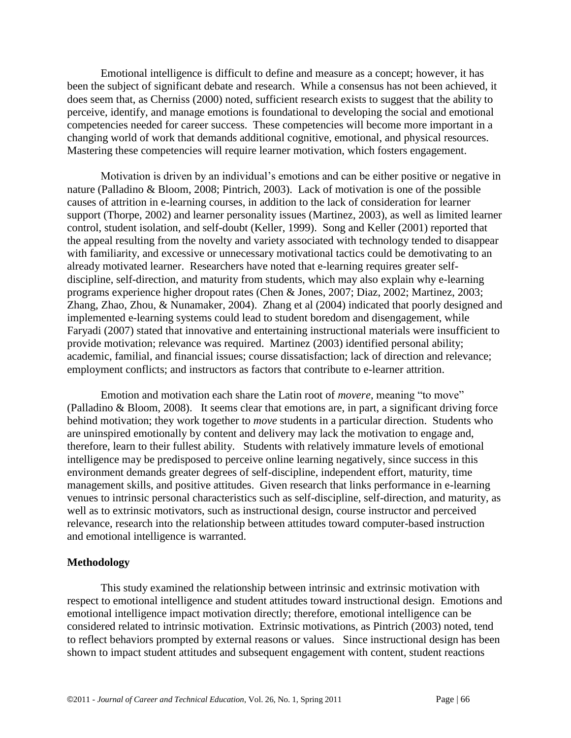Emotional intelligence is difficult to define and measure as a concept; however, it has been the subject of significant debate and research. While a consensus has not been achieved, it does seem that, as Cherniss (2000) noted, sufficient research exists to suggest that the ability to perceive, identify, and manage emotions is foundational to developing the social and emotional competencies needed for career success. These competencies will become more important in a changing world of work that demands additional cognitive, emotional, and physical resources. Mastering these competencies will require learner motivation, which fosters engagement.

Motivation is driven by an individual's emotions and can be either positive or negative in nature (Palladino & Bloom, 2008; Pintrich, 2003). Lack of motivation is one of the possible causes of attrition in e-learning courses, in addition to the lack of consideration for learner support (Thorpe, 2002) and learner personality issues (Martinez, 2003), as well as limited learner control, student isolation, and self-doubt (Keller, 1999). Song and Keller (2001) reported that the appeal resulting from the novelty and variety associated with technology tended to disappear with familiarity, and excessive or unnecessary motivational tactics could be demotivating to an already motivated learner. Researchers have noted that e-learning requires greater selfdiscipline, self-direction, and maturity from students, which may also explain why e-learning programs experience higher dropout rates (Chen & Jones, 2007; Diaz, 2002; Martinez, 2003; Zhang, Zhao, Zhou, & Nunamaker, 2004). Zhang et al (2004) indicated that poorly designed and implemented e-learning systems could lead to student boredom and disengagement, while Faryadi (2007) stated that innovative and entertaining instructional materials were insufficient to provide motivation; relevance was required. Martinez (2003) identified personal ability; academic, familial, and financial issues; course dissatisfaction; lack of direction and relevance; employment conflicts; and instructors as factors that contribute to e-learner attrition.

Emotion and motivation each share the Latin root of *movere*, meaning "to move" (Palladino & Bloom, 2008). It seems clear that emotions are, in part, a significant driving force behind motivation; they work together to *move* students in a particular direction. Students who are uninspired emotionally by content and delivery may lack the motivation to engage and, therefore, learn to their fullest ability. Students with relatively immature levels of emotional intelligence may be predisposed to perceive online learning negatively, since success in this environment demands greater degrees of self-discipline, independent effort, maturity, time management skills, and positive attitudes. Given research that links performance in e-learning venues to intrinsic personal characteristics such as self-discipline, self-direction, and maturity, as well as to extrinsic motivators, such as instructional design, course instructor and perceived relevance, research into the relationship between attitudes toward computer-based instruction and emotional intelligence is warranted.

#### **Methodology**

This study examined the relationship between intrinsic and extrinsic motivation with respect to emotional intelligence and student attitudes toward instructional design. Emotions and emotional intelligence impact motivation directly; therefore, emotional intelligence can be considered related to intrinsic motivation. Extrinsic motivations, as Pintrich (2003) noted, tend to reflect behaviors prompted by external reasons or values. Since instructional design has been shown to impact student attitudes and subsequent engagement with content, student reactions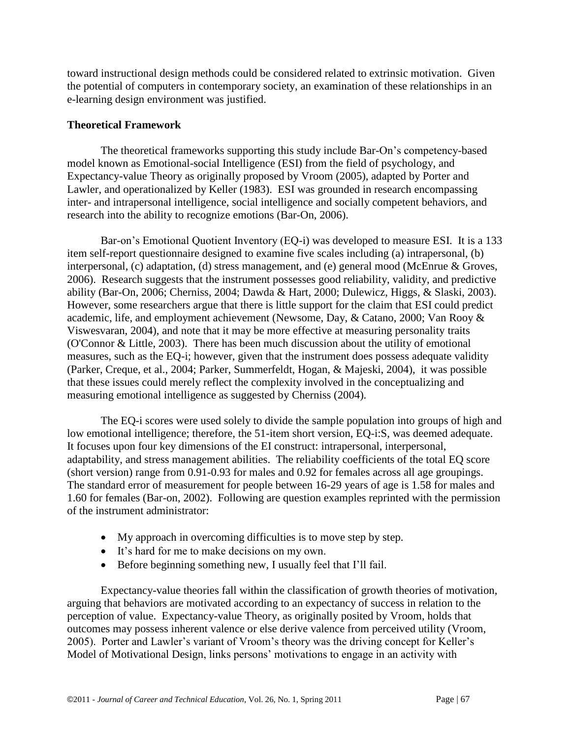toward instructional design methods could be considered related to extrinsic motivation. Given the potential of computers in contemporary society, an examination of these relationships in an e-learning design environment was justified.

#### **Theoretical Framework**

The theoretical frameworks supporting this study include Bar-On's competency-based model known as Emotional-social Intelligence (ESI) from the field of psychology, and Expectancy-value Theory as originally proposed by Vroom (2005), adapted by Porter and Lawler, and operationalized by Keller (1983). ESI was grounded in research encompassing inter- and intrapersonal intelligence, social intelligence and socially competent behaviors, and research into the ability to recognize emotions (Bar-On, 2006).

Bar-on's Emotional Quotient Inventory (EQ-i) was developed to measure ESI. It is a 133 item self-report questionnaire designed to examine five scales including (a) intrapersonal, (b) interpersonal, (c) adaptation, (d) stress management, and (e) general mood (McEnrue & Groves, 2006). Research suggests that the instrument possesses good reliability, validity, and predictive ability (Bar-On, 2006; Cherniss, 2004; Dawda & Hart, 2000; Dulewicz, Higgs, & Slaski, 2003). However, some researchers argue that there is little support for the claim that ESI could predict academic, life, and employment achievement (Newsome, Day, & Catano, 2000; Van Rooy & Viswesvaran, 2004), and note that it may be more effective at measuring personality traits (O'Connor & Little, 2003). There has been much discussion about the utility of emotional measures, such as the EQ-i; however, given that the instrument does possess adequate validity (Parker, Creque, et al., 2004; Parker, Summerfeldt, Hogan, & Majeski, 2004), it was possible that these issues could merely reflect the complexity involved in the conceptualizing and measuring emotional intelligence as suggested by Cherniss (2004).

The EQ-i scores were used solely to divide the sample population into groups of high and low emotional intelligence; therefore, the 51-item short version, EQ-i:S, was deemed adequate. It focuses upon four key dimensions of the EI construct: intrapersonal, interpersonal, adaptability, and stress management abilities. The reliability coefficients of the total EQ score (short version) range from 0.91-0.93 for males and 0.92 for females across all age groupings. The standard error of measurement for people between 16-29 years of age is 1.58 for males and 1.60 for females (Bar-on, 2002). Following are question examples reprinted with the permission of the instrument administrator:

- My approach in overcoming difficulties is to move step by step.
- It's hard for me to make decisions on my own.
- Before beginning something new, I usually feel that I'll fail.

Expectancy-value theories fall within the classification of growth theories of motivation, arguing that behaviors are motivated according to an expectancy of success in relation to the perception of value. Expectancy-value Theory, as originally posited by Vroom, holds that outcomes may possess inherent valence or else derive valence from perceived utility (Vroom, 2005). Porter and Lawler's variant of Vroom's theory was the driving concept for Keller's Model of Motivational Design, links persons' motivations to engage in an activity with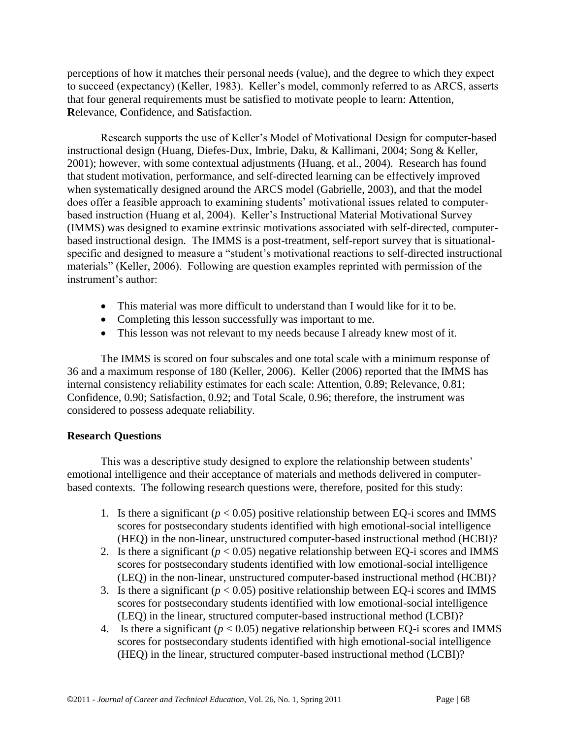perceptions of how it matches their personal needs (value), and the degree to which they expect to succeed (expectancy) (Keller, 1983). Keller's model, commonly referred to as ARCS, asserts that four general requirements must be satisfied to motivate people to learn: **A**ttention, **R**elevance, **C**onfidence, and **S**atisfaction.

Research supports the use of Keller's Model of Motivational Design for computer-based instructional design (Huang, Diefes-Dux, Imbrie, Daku, & Kallimani, 2004; Song & Keller, 2001); however, with some contextual adjustments (Huang, et al., 2004). Research has found that student motivation, performance, and self-directed learning can be effectively improved when systematically designed around the ARCS model (Gabrielle, 2003), and that the model does offer a feasible approach to examining students' motivational issues related to computerbased instruction (Huang et al, 2004). Keller's Instructional Material Motivational Survey (IMMS) was designed to examine extrinsic motivations associated with self-directed, computerbased instructional design. The IMMS is a post-treatment, self-report survey that is situationalspecific and designed to measure a "student's motivational reactions to self-directed instructional materials" (Keller, 2006). Following are question examples reprinted with permission of the instrument's author:

- This material was more difficult to understand than I would like for it to be.
- Completing this lesson successfully was important to me.
- This lesson was not relevant to my needs because I already knew most of it.

The IMMS is scored on four subscales and one total scale with a minimum response of 36 and a maximum response of 180 (Keller, 2006). Keller (2006) reported that the IMMS has internal consistency reliability estimates for each scale: Attention, 0.89; Relevance, 0.81; Confidence, 0.90; Satisfaction, 0.92; and Total Scale, 0.96; therefore, the instrument was considered to possess adequate reliability.

#### **Research Questions**

This was a descriptive study designed to explore the relationship between students' emotional intelligence and their acceptance of materials and methods delivered in computerbased contexts. The following research questions were, therefore, posited for this study:

- 1. Is there a significant  $(p < 0.05)$  positive relationship between EQ-i scores and IMMS scores for postsecondary students identified with high emotional-social intelligence (HEQ) in the non-linear, unstructured computer-based instructional method (HCBI)?
- 2. Is there a significant  $(p < 0.05)$  negative relationship between EQ-i scores and IMMS scores for postsecondary students identified with low emotional-social intelligence (LEQ) in the non-linear, unstructured computer-based instructional method (HCBI)?
- 3. Is there a significant  $(p < 0.05)$  positive relationship between EQ-i scores and IMMS scores for postsecondary students identified with low emotional-social intelligence (LEQ) in the linear, structured computer-based instructional method (LCBI)?
- 4. Is there a significant  $(p < 0.05)$  negative relationship between EQ-i scores and IMMS scores for postsecondary students identified with high emotional-social intelligence (HEQ) in the linear, structured computer-based instructional method (LCBI)?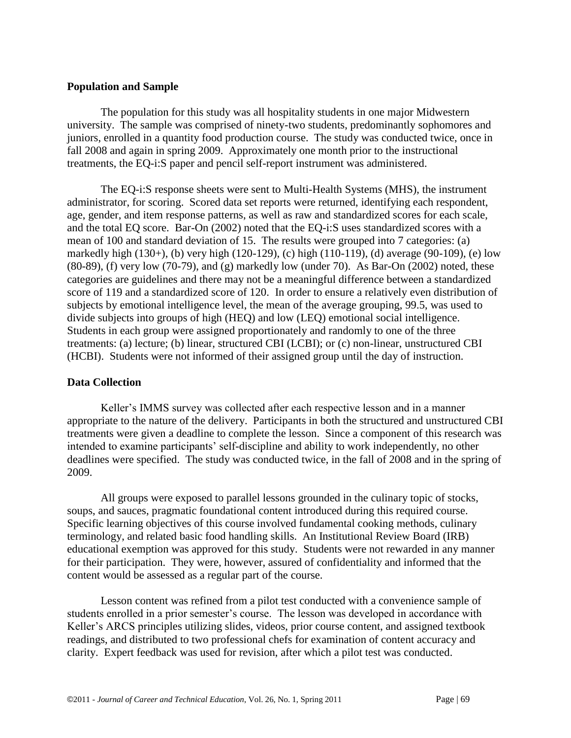#### **Population and Sample**

The population for this study was all hospitality students in one major Midwestern university. The sample was comprised of ninety-two students, predominantly sophomores and juniors, enrolled in a quantity food production course. The study was conducted twice, once in fall 2008 and again in spring 2009. Approximately one month prior to the instructional treatments, the EQ-i:S paper and pencil self-report instrument was administered.

The EQ-i:S response sheets were sent to Multi-Health Systems (MHS), the instrument administrator, for scoring. Scored data set reports were returned, identifying each respondent, age, gender, and item response patterns, as well as raw and standardized scores for each scale, and the total EQ score. Bar-On (2002) noted that the EQ-i:S uses standardized scores with a mean of 100 and standard deviation of 15. The results were grouped into 7 categories: (a) markedly high (130+), (b) very high (120-129), (c) high (110-119), (d) average (90-109), (e) low  $(80-89)$ , (f) very low  $(70-79)$ , and  $(g)$  markedly low (under 70). As Bar-On  $(2002)$  noted, these categories are guidelines and there may not be a meaningful difference between a standardized score of 119 and a standardized score of 120. In order to ensure a relatively even distribution of subjects by emotional intelligence level, the mean of the average grouping, 99.5, was used to divide subjects into groups of high (HEQ) and low (LEQ) emotional social intelligence. Students in each group were assigned proportionately and randomly to one of the three treatments: (a) lecture; (b) linear, structured CBI (LCBI); or (c) non-linear, unstructured CBI (HCBI). Students were not informed of their assigned group until the day of instruction.

#### **Data Collection**

Keller's IMMS survey was collected after each respective lesson and in a manner appropriate to the nature of the delivery. Participants in both the structured and unstructured CBI treatments were given a deadline to complete the lesson. Since a component of this research was intended to examine participants' self-discipline and ability to work independently, no other deadlines were specified. The study was conducted twice, in the fall of 2008 and in the spring of 2009.

All groups were exposed to parallel lessons grounded in the culinary topic of stocks, soups, and sauces, pragmatic foundational content introduced during this required course. Specific learning objectives of this course involved fundamental cooking methods, culinary terminology, and related basic food handling skills. An Institutional Review Board (IRB) educational exemption was approved for this study. Students were not rewarded in any manner for their participation. They were, however, assured of confidentiality and informed that the content would be assessed as a regular part of the course.

Lesson content was refined from a pilot test conducted with a convenience sample of students enrolled in a prior semester's course. The lesson was developed in accordance with Keller's ARCS principles utilizing slides, videos, prior course content, and assigned textbook readings, and distributed to two professional chefs for examination of content accuracy and clarity. Expert feedback was used for revision, after which a pilot test was conducted.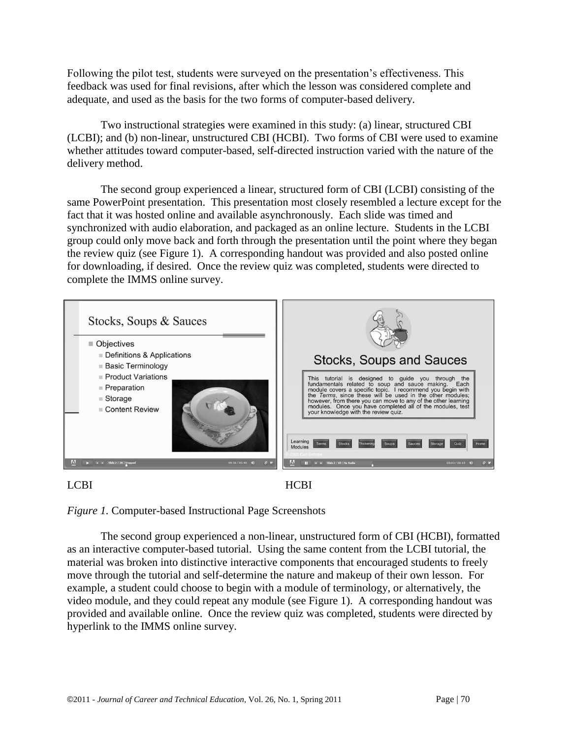Following the pilot test, students were surveyed on the presentation's effectiveness. This feedback was used for final revisions, after which the lesson was considered complete and adequate, and used as the basis for the two forms of computer-based delivery.

Two instructional strategies were examined in this study: (a) linear, structured CBI (LCBI); and (b) non-linear, unstructured CBI (HCBI). Two forms of CBI were used to examine whether attitudes toward computer-based, self-directed instruction varied with the nature of the delivery method.

The second group experienced a linear, structured form of CBI (LCBI) consisting of the same PowerPoint presentation. This presentation most closely resembled a lecture except for the fact that it was hosted online and available asynchronously. Each slide was timed and synchronized with audio elaboration, and packaged as an online lecture. Students in the LCBI group could only move back and forth through the presentation until the point where they began the review quiz (see Figure 1). A corresponding handout was provided and also posted online for downloading, if desired. Once the review quiz was completed, students were directed to complete the IMMS online survey.





*Figure 1.* Computer-based Instructional Page Screenshots

The second group experienced a non-linear, unstructured form of CBI (HCBI), formatted as an interactive computer-based tutorial. Using the same content from the LCBI tutorial, the material was broken into distinctive interactive components that encouraged students to freely move through the tutorial and self-determine the nature and makeup of their own lesson. For example, a student could choose to begin with a module of terminology, or alternatively, the video module, and they could repeat any module (see Figure 1). A corresponding handout was provided and available online. Once the review quiz was completed, students were directed by hyperlink to the IMMS online survey.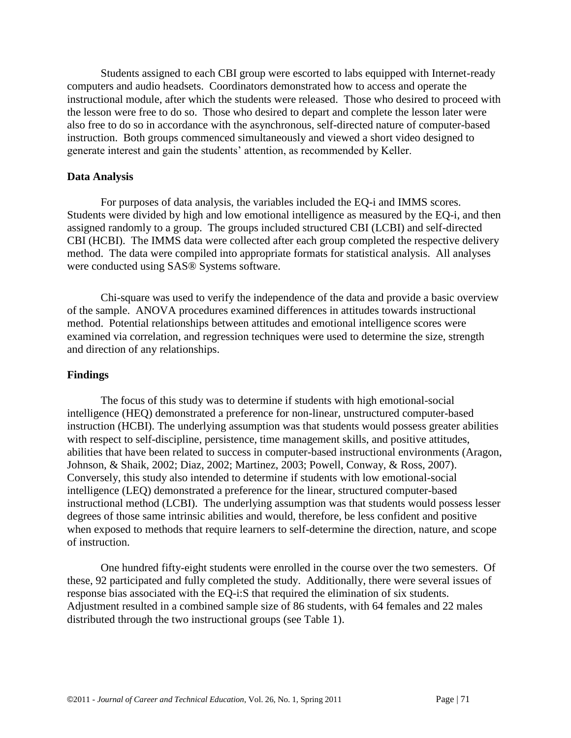Students assigned to each CBI group were escorted to labs equipped with Internet-ready computers and audio headsets. Coordinators demonstrated how to access and operate the instructional module, after which the students were released. Those who desired to proceed with the lesson were free to do so. Those who desired to depart and complete the lesson later were also free to do so in accordance with the asynchronous, self-directed nature of computer-based instruction. Both groups commenced simultaneously and viewed a short video designed to generate interest and gain the students' attention, as recommended by Keller.

## **Data Analysis**

For purposes of data analysis, the variables included the EQ-i and IMMS scores. Students were divided by high and low emotional intelligence as measured by the EQ-i, and then assigned randomly to a group. The groups included structured CBI (LCBI) and self-directed CBI (HCBI). The IMMS data were collected after each group completed the respective delivery method. The data were compiled into appropriate formats for statistical analysis. All analyses were conducted using SAS® Systems software.

Chi-square was used to verify the independence of the data and provide a basic overview of the sample. ANOVA procedures examined differences in attitudes towards instructional method. Potential relationships between attitudes and emotional intelligence scores were examined via correlation, and regression techniques were used to determine the size, strength and direction of any relationships.

## **Findings**

The focus of this study was to determine if students with high emotional-social intelligence (HEQ) demonstrated a preference for non-linear, unstructured computer-based instruction (HCBI). The underlying assumption was that students would possess greater abilities with respect to self-discipline, persistence, time management skills, and positive attitudes, abilities that have been related to success in computer-based instructional environments (Aragon, Johnson, & Shaik, 2002; Diaz, 2002; Martinez, 2003; Powell, Conway, & Ross, 2007). Conversely, this study also intended to determine if students with low emotional-social intelligence (LEQ) demonstrated a preference for the linear, structured computer-based instructional method (LCBI). The underlying assumption was that students would possess lesser degrees of those same intrinsic abilities and would, therefore, be less confident and positive when exposed to methods that require learners to self-determine the direction, nature, and scope of instruction.

One hundred fifty-eight students were enrolled in the course over the two semesters. Of these, 92 participated and fully completed the study. Additionally, there were several issues of response bias associated with the EQ-i:S that required the elimination of six students. Adjustment resulted in a combined sample size of 86 students, with 64 females and 22 males distributed through the two instructional groups (see Table 1).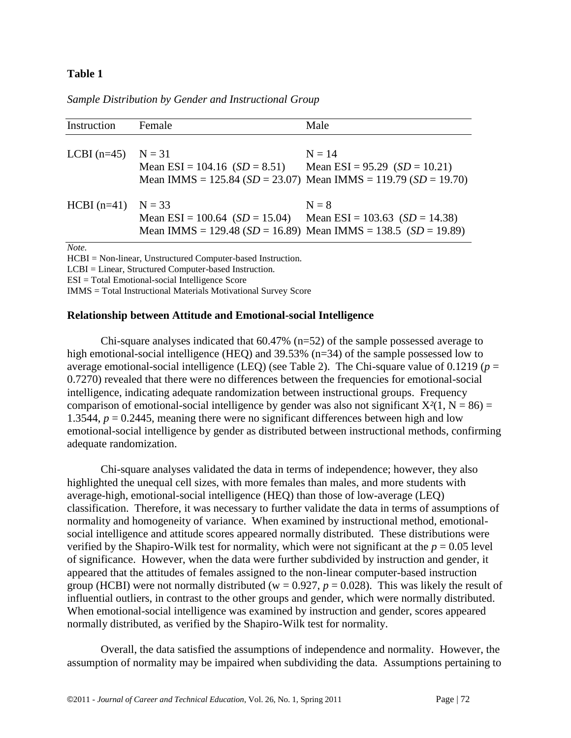#### **Table 1**

#### *Sample Distribution by Gender and Instructional Group*

| Instruction                                     | Female                                                            | Male                                                                              |
|-------------------------------------------------|-------------------------------------------------------------------|-----------------------------------------------------------------------------------|
| LCBI $(n=45)$                                   | $N = 31$<br>Mean $ESI = 104.16$ $(SD = 8.51)$                     | $N = 14$<br>Mean $ESI = 95.29$ $(SD = 10.21)$                                     |
|                                                 |                                                                   | Mean IMMS = 125.84 ( $SD = 23.07$ ) Mean IMMS = 119.79 ( $SD = 19.70$ )           |
| $HCBI(n=41)$ N = 33                             | Mean ESI = 100.64 $(SD = 15.04)$ Mean ESI = 103.63 $(SD = 14.38)$ | $N = 8$<br>Mean IMMS = 129.48 ( $SD = 16.89$ ) Mean IMMS = 138.5 ( $SD = 19.89$ ) |
| Note.<br>$\mathbf{r}$ $\mathbf{r}$ $\mathbf{r}$ |                                                                   |                                                                                   |

HCBI = Non-linear, Unstructured Computer-based Instruction. LCBI = Linear, Structured Computer-based Instruction. ESI = Total Emotional-social Intelligence Score IMMS = Total Instructional Materials Motivational Survey Score

#### **Relationship between Attitude and Emotional-social Intelligence**

Chi-square analyses indicated that 60.47% (n=52) of the sample possessed average to high emotional-social intelligence (HEQ) and 39.53% (n=34) of the sample possessed low to average emotional-social intelligence (LEQ) (see Table 2). The Chi-square value of 0.1219 (*p* = 0.7270) revealed that there were no differences between the frequencies for emotional-social intelligence, indicating adequate randomization between instructional groups. Frequency comparison of emotional-social intelligence by gender was also not significant  $X^2(1, N = 86) =$ 1.3544,  $p = 0.2445$ , meaning there were no significant differences between high and low emotional-social intelligence by gender as distributed between instructional methods, confirming adequate randomization.

Chi-square analyses validated the data in terms of independence; however, they also highlighted the unequal cell sizes, with more females than males, and more students with average-high, emotional-social intelligence (HEQ) than those of low-average (LEQ) classification. Therefore, it was necessary to further validate the data in terms of assumptions of normality and homogeneity of variance. When examined by instructional method, emotionalsocial intelligence and attitude scores appeared normally distributed. These distributions were verified by the Shapiro-Wilk test for normality, which were not significant at the *p* = 0.05 level of significance. However, when the data were further subdivided by instruction and gender, it appeared that the attitudes of females assigned to the non-linear computer-based instruction group (HCBI) were not normally distributed ( $w = 0.927$ ,  $p = 0.028$ ). This was likely the result of influential outliers, in contrast to the other groups and gender, which were normally distributed. When emotional-social intelligence was examined by instruction and gender, scores appeared normally distributed, as verified by the Shapiro-Wilk test for normality.

Overall, the data satisfied the assumptions of independence and normality. However, the assumption of normality may be impaired when subdividing the data. Assumptions pertaining to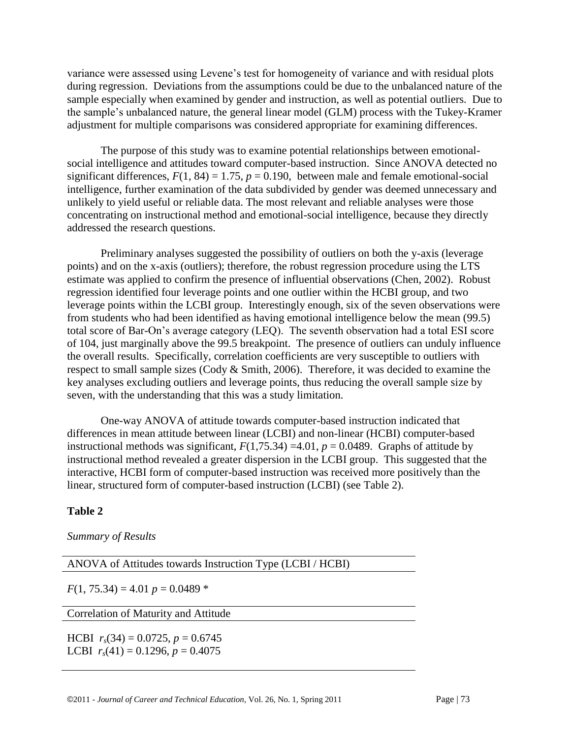variance were assessed using Levene's test for homogeneity of variance and with residual plots during regression. Deviations from the assumptions could be due to the unbalanced nature of the sample especially when examined by gender and instruction, as well as potential outliers. Due to the sample's unbalanced nature, the general linear model (GLM) process with the Tukey-Kramer adjustment for multiple comparisons was considered appropriate for examining differences.

The purpose of this study was to examine potential relationships between emotionalsocial intelligence and attitudes toward computer-based instruction. Since ANOVA detected no significant differences,  $F(1, 84) = 1.75$ ,  $p = 0.190$ , between male and female emotional-social intelligence, further examination of the data subdivided by gender was deemed unnecessary and unlikely to yield useful or reliable data. The most relevant and reliable analyses were those concentrating on instructional method and emotional-social intelligence, because they directly addressed the research questions.

Preliminary analyses suggested the possibility of outliers on both the y-axis (leverage points) and on the x-axis (outliers); therefore, the robust regression procedure using the LTS estimate was applied to confirm the presence of influential observations (Chen, 2002). Robust regression identified four leverage points and one outlier within the HCBI group, and two leverage points within the LCBI group. Interestingly enough, six of the seven observations were from students who had been identified as having emotional intelligence below the mean (99.5) total score of Bar-On's average category (LEQ). The seventh observation had a total ESI score of 104, just marginally above the 99.5 breakpoint. The presence of outliers can unduly influence the overall results. Specifically, correlation coefficients are very susceptible to outliers with respect to small sample sizes (Cody & Smith, 2006). Therefore, it was decided to examine the key analyses excluding outliers and leverage points, thus reducing the overall sample size by seven, with the understanding that this was a study limitation.

One-way ANOVA of attitude towards computer-based instruction indicated that differences in mean attitude between linear (LCBI) and non-linear (HCBI) computer-based instructional methods was significant,  $F(1,75.34) = 4.01$ ,  $p = 0.0489$ . Graphs of attitude by instructional method revealed a greater dispersion in the LCBI group. This suggested that the interactive, HCBI form of computer-based instruction was received more positively than the linear, structured form of computer-based instruction (LCBI) (see Table 2).

# **Table 2**

*Summary of Results* 

ANOVA of Attitudes towards Instruction Type (LCBI / HCBI)

 $F(1, 75.34) = 4.01 p = 0.0489$ 

Correlation of Maturity and Attitude

HCBI  $r_s(34) = 0.0725$ ,  $p = 0.6745$ LCBI  $r_s(41) = 0.1296$ ,  $p = 0.4075$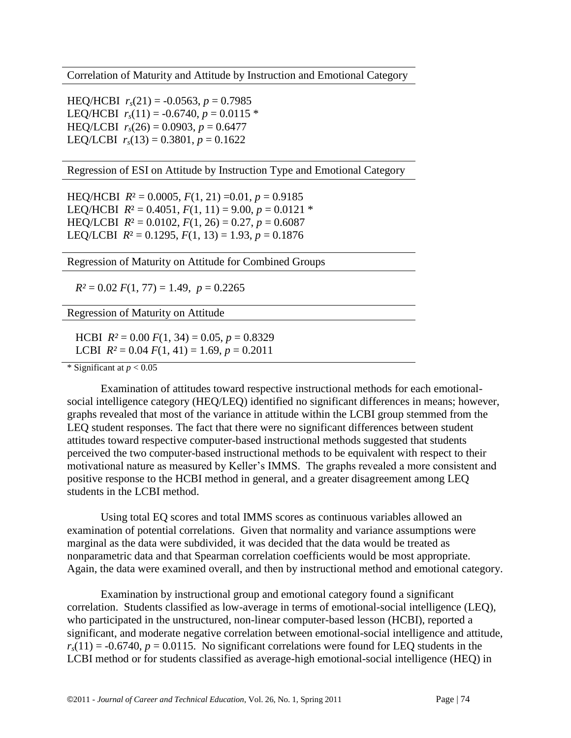Correlation of Maturity and Attitude by Instruction and Emotional Category

HEQ/HCBI  $r_s(21) = -0.0563$ ,  $p = 0.7985$ LEQ/HCBI  $r_s(11) = -0.6740$ ,  $p = 0.0115$  \* HEQ/LCBI  $r_s(26) = 0.0903$ ,  $p = 0.6477$ LEQ/LCBI  $r_s(13) = 0.3801$ ,  $p = 0.1622$ 

Regression of ESI on Attitude by Instruction Type and Emotional Category

HEQ/HCBI  $R^2 = 0.0005$ ,  $F(1, 21) = 0.01$ ,  $p = 0.9185$ LEQ/HCBI  $R^2 = 0.4051$ ,  $F(1, 11) = 9.00$ ,  $p = 0.0121$  \* HEQ/LCBI  $R^2 = 0.0102$ ,  $F(1, 26) = 0.27$ ,  $p = 0.6087$ LEQ/LCBI  $R^2 = 0.1295$ ,  $F(1, 13) = 1.93$ ,  $p = 0.1876$ 

Regression of Maturity on Attitude for Combined Groups

 $R^2 = 0.02 F(1, 77) = 1.49, p = 0.2265$ 

Regression of Maturity on Attitude

HCBI  $R^2 = 0.00 F(1, 34) = 0.05, p = 0.8329$ **LCBI**  $R^2 = 0.04 F(1, 41) = 1.69$ ,  $p = 0.2011$ 

\* Significant at  $p < 0.05$ 

Examination of attitudes toward respective instructional methods for each emotionalsocial intelligence category (HEQ/LEQ) identified no significant differences in means; however, graphs revealed that most of the variance in attitude within the LCBI group stemmed from the LEQ student responses. The fact that there were no significant differences between student attitudes toward respective computer-based instructional methods suggested that students perceived the two computer-based instructional methods to be equivalent with respect to their motivational nature as measured by Keller's IMMS. The graphs revealed a more consistent and positive response to the HCBI method in general, and a greater disagreement among LEQ students in the LCBI method.

Using total EQ scores and total IMMS scores as continuous variables allowed an examination of potential correlations. Given that normality and variance assumptions were marginal as the data were subdivided, it was decided that the data would be treated as nonparametric data and that Spearman correlation coefficients would be most appropriate. Again, the data were examined overall, and then by instructional method and emotional category.

Examination by instructional group and emotional category found a significant correlation. Students classified as low-average in terms of emotional-social intelligence (LEQ), who participated in the unstructured, non-linear computer-based lesson (HCBI), reported a significant, and moderate negative correlation between emotional-social intelligence and attitude,  $r_s(11) = -0.6740$ ,  $p = 0.0115$ . No significant correlations were found for LEQ students in the LCBI method or for students classified as average-high emotional-social intelligence (HEQ) in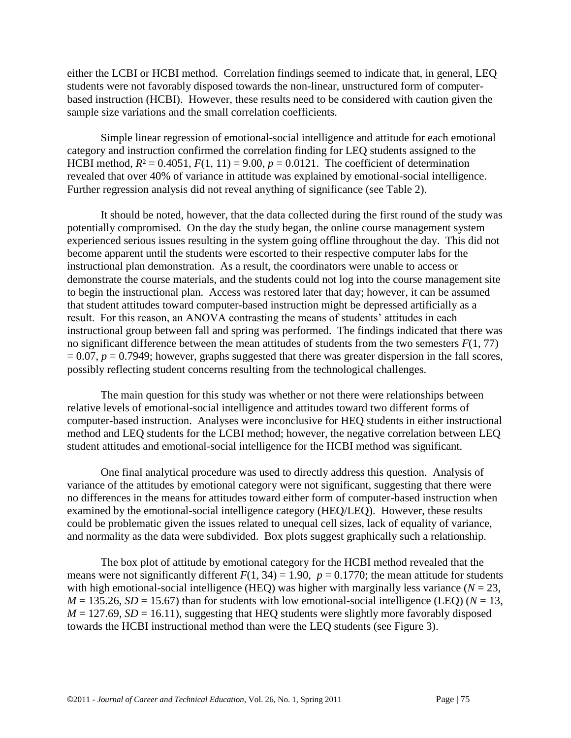either the LCBI or HCBI method. Correlation findings seemed to indicate that, in general, LEQ students were not favorably disposed towards the non-linear, unstructured form of computerbased instruction (HCBI). However, these results need to be considered with caution given the sample size variations and the small correlation coefficients.

Simple linear regression of emotional-social intelligence and attitude for each emotional category and instruction confirmed the correlation finding for LEQ students assigned to the HCBI method,  $R^2 = 0.4051$ ,  $F(1, 11) = 9.00$ ,  $p = 0.0121$ . The coefficient of determination revealed that over 40% of variance in attitude was explained by emotional-social intelligence. Further regression analysis did not reveal anything of significance (see Table 2).

It should be noted, however, that the data collected during the first round of the study was potentially compromised. On the day the study began, the online course management system experienced serious issues resulting in the system going offline throughout the day. This did not become apparent until the students were escorted to their respective computer labs for the instructional plan demonstration. As a result, the coordinators were unable to access or demonstrate the course materials, and the students could not log into the course management site to begin the instructional plan. Access was restored later that day; however, it can be assumed that student attitudes toward computer-based instruction might be depressed artificially as a result. For this reason, an ANOVA contrasting the means of students' attitudes in each instructional group between fall and spring was performed. The findings indicated that there was no significant difference between the mean attitudes of students from the two semesters *F*(1, 77)  $= 0.07$ ,  $p = 0.7949$ ; however, graphs suggested that there was greater dispersion in the fall scores, possibly reflecting student concerns resulting from the technological challenges.

The main question for this study was whether or not there were relationships between relative levels of emotional-social intelligence and attitudes toward two different forms of computer-based instruction. Analyses were inconclusive for HEQ students in either instructional method and LEQ students for the LCBI method; however, the negative correlation between LEQ student attitudes and emotional-social intelligence for the HCBI method was significant.

One final analytical procedure was used to directly address this question. Analysis of variance of the attitudes by emotional category were not significant, suggesting that there were no differences in the means for attitudes toward either form of computer-based instruction when examined by the emotional-social intelligence category (HEQ/LEQ). However, these results could be problematic given the issues related to unequal cell sizes, lack of equality of variance, and normality as the data were subdivided. Box plots suggest graphically such a relationship.

The box plot of attitude by emotional category for the HCBI method revealed that the means were not significantly different  $F(1, 34) = 1.90$ ,  $p = 0.1770$ ; the mean attitude for students with high emotional-social intelligence (HEQ) was higher with marginally less variance ( $N = 23$ ,  $M = 135.26$ ,  $SD = 15.67$ ) than for students with low emotional-social intelligence (LEQ) ( $N = 13$ ,  $M = 127.69$ ,  $SD = 16.11$ ), suggesting that HEQ students were slightly more favorably disposed towards the HCBI instructional method than were the LEQ students (see Figure 3).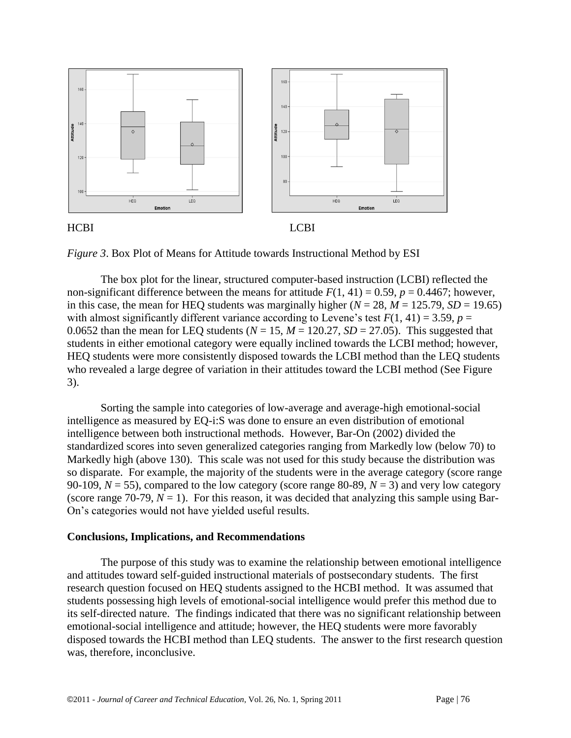





*Figure 3*. Box Plot of Means for Attitude towards Instructional Method by ESI

The box plot for the linear, structured computer-based instruction (LCBI) reflected the non-significant difference between the means for attitude  $F(1, 41) = 0.59$ ,  $p = 0.4467$ ; however, in this case, the mean for HEQ students was marginally higher  $(N = 28, M = 125.79, SD = 19.65)$ with almost significantly different variance according to Levene's test  $F(1, 41) = 3.59$ ,  $p =$ 0.0652 than the mean for LEQ students ( $N = 15$ ,  $M = 120.27$ ,  $SD = 27.05$ ). This suggested that students in either emotional category were equally inclined towards the LCBI method; however, HEQ students were more consistently disposed towards the LCBI method than the LEQ students who revealed a large degree of variation in their attitudes toward the LCBI method (See Figure 3).

Sorting the sample into categories of low-average and average-high emotional-social intelligence as measured by EQ-i:S was done to ensure an even distribution of emotional intelligence between both instructional methods. However, Bar-On (2002) divided the standardized scores into seven generalized categories ranging from Markedly low (below 70) to Markedly high (above 130). This scale was not used for this study because the distribution was so disparate. For example, the majority of the students were in the average category (score range 90-109,  $N = 55$ ), compared to the low category (score range 80-89,  $N = 3$ ) and very low category (score range 70-79,  $N = 1$ ). For this reason, it was decided that analyzing this sample using Bar-On's categories would not have yielded useful results.

#### **Conclusions, Implications, and Recommendations**

The purpose of this study was to examine the relationship between emotional intelligence and attitudes toward self-guided instructional materials of postsecondary students. The first research question focused on HEQ students assigned to the HCBI method. It was assumed that students possessing high levels of emotional-social intelligence would prefer this method due to its self-directed nature. The findings indicated that there was no significant relationship between emotional-social intelligence and attitude; however, the HEQ students were more favorably disposed towards the HCBI method than LEQ students. The answer to the first research question was, therefore, inconclusive.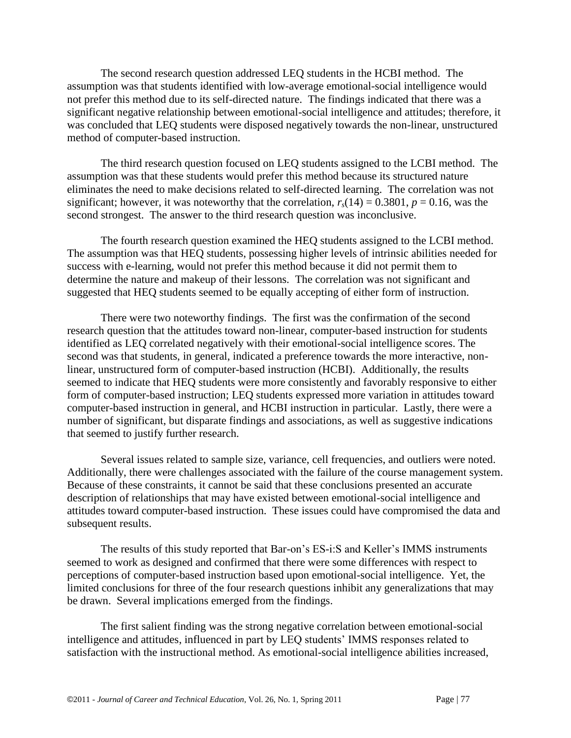The second research question addressed LEQ students in the HCBI method. The assumption was that students identified with low-average emotional-social intelligence would not prefer this method due to its self-directed nature. The findings indicated that there was a significant negative relationship between emotional-social intelligence and attitudes; therefore, it was concluded that LEQ students were disposed negatively towards the non-linear, unstructured method of computer-based instruction.

The third research question focused on LEQ students assigned to the LCBI method. The assumption was that these students would prefer this method because its structured nature eliminates the need to make decisions related to self-directed learning. The correlation was not significant; however, it was noteworthy that the correlation,  $r_s(14) = 0.3801$ ,  $p = 0.16$ , was the second strongest. The answer to the third research question was inconclusive.

The fourth research question examined the HEQ students assigned to the LCBI method. The assumption was that HEQ students, possessing higher levels of intrinsic abilities needed for success with e-learning, would not prefer this method because it did not permit them to determine the nature and makeup of their lessons. The correlation was not significant and suggested that HEQ students seemed to be equally accepting of either form of instruction.

There were two noteworthy findings. The first was the confirmation of the second research question that the attitudes toward non-linear, computer-based instruction for students identified as LEQ correlated negatively with their emotional-social intelligence scores. The second was that students, in general, indicated a preference towards the more interactive, nonlinear, unstructured form of computer-based instruction (HCBI). Additionally, the results seemed to indicate that HEQ students were more consistently and favorably responsive to either form of computer-based instruction; LEQ students expressed more variation in attitudes toward computer-based instruction in general, and HCBI instruction in particular. Lastly, there were a number of significant, but disparate findings and associations, as well as suggestive indications that seemed to justify further research.

Several issues related to sample size, variance, cell frequencies, and outliers were noted. Additionally, there were challenges associated with the failure of the course management system. Because of these constraints, it cannot be said that these conclusions presented an accurate description of relationships that may have existed between emotional-social intelligence and attitudes toward computer-based instruction. These issues could have compromised the data and subsequent results.

The results of this study reported that Bar-on's ES-i:S and Keller's IMMS instruments seemed to work as designed and confirmed that there were some differences with respect to perceptions of computer-based instruction based upon emotional-social intelligence. Yet, the limited conclusions for three of the four research questions inhibit any generalizations that may be drawn. Several implications emerged from the findings.

The first salient finding was the strong negative correlation between emotional-social intelligence and attitudes, influenced in part by LEQ students' IMMS responses related to satisfaction with the instructional method. As emotional-social intelligence abilities increased,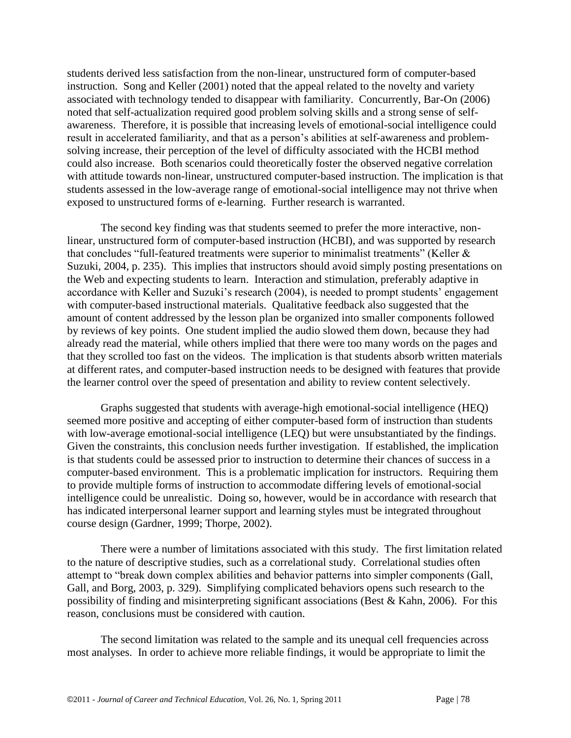students derived less satisfaction from the non-linear, unstructured form of computer-based instruction. Song and Keller (2001) noted that the appeal related to the novelty and variety associated with technology tended to disappear with familiarity. Concurrently, Bar-On (2006) noted that self-actualization required good problem solving skills and a strong sense of selfawareness. Therefore, it is possible that increasing levels of emotional-social intelligence could result in accelerated familiarity, and that as a person's abilities at self-awareness and problemsolving increase, their perception of the level of difficulty associated with the HCBI method could also increase. Both scenarios could theoretically foster the observed negative correlation with attitude towards non-linear, unstructured computer-based instruction. The implication is that students assessed in the low-average range of emotional-social intelligence may not thrive when exposed to unstructured forms of e-learning. Further research is warranted.

The second key finding was that students seemed to prefer the more interactive, nonlinear, unstructured form of computer-based instruction (HCBI), and was supported by research that concludes "full-featured treatments were superior to minimalist treatments" (Keller  $\&$ Suzuki, 2004, p. 235). This implies that instructors should avoid simply posting presentations on the Web and expecting students to learn. Interaction and stimulation, preferably adaptive in accordance with Keller and Suzuki's research (2004), is needed to prompt students' engagement with computer-based instructional materials. Qualitative feedback also suggested that the amount of content addressed by the lesson plan be organized into smaller components followed by reviews of key points. One student implied the audio slowed them down, because they had already read the material, while others implied that there were too many words on the pages and that they scrolled too fast on the videos. The implication is that students absorb written materials at different rates, and computer-based instruction needs to be designed with features that provide the learner control over the speed of presentation and ability to review content selectively.

Graphs suggested that students with average-high emotional-social intelligence (HEQ) seemed more positive and accepting of either computer-based form of instruction than students with low-average emotional-social intelligence (LEQ) but were unsubstantiated by the findings. Given the constraints, this conclusion needs further investigation. If established, the implication is that students could be assessed prior to instruction to determine their chances of success in a computer-based environment. This is a problematic implication for instructors. Requiring them to provide multiple forms of instruction to accommodate differing levels of emotional-social intelligence could be unrealistic. Doing so, however, would be in accordance with research that has indicated interpersonal learner support and learning styles must be integrated throughout course design (Gardner, 1999; Thorpe, 2002).

There were a number of limitations associated with this study. The first limitation related to the nature of descriptive studies, such as a correlational study. Correlational studies often attempt to "break down complex abilities and behavior patterns into simpler components (Gall, Gall, and Borg, 2003, p. 329). Simplifying complicated behaviors opens such research to the possibility of finding and misinterpreting significant associations (Best & Kahn, 2006). For this reason, conclusions must be considered with caution.

The second limitation was related to the sample and its unequal cell frequencies across most analyses. In order to achieve more reliable findings, it would be appropriate to limit the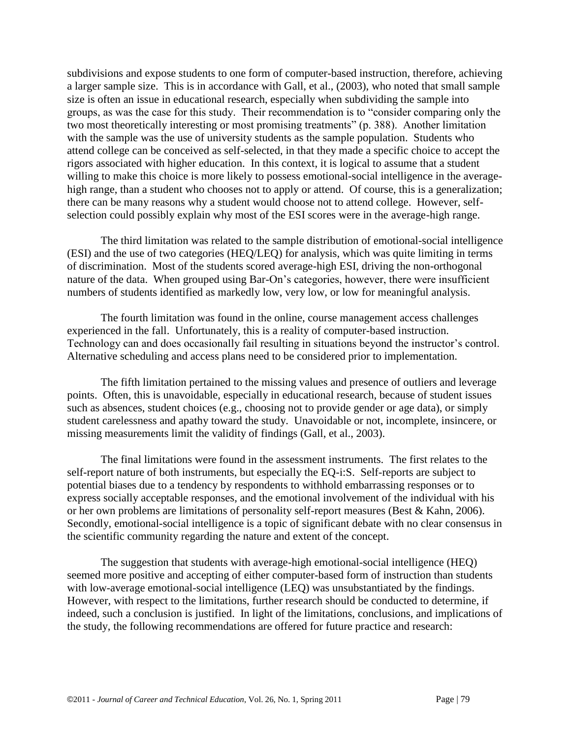subdivisions and expose students to one form of computer-based instruction, therefore, achieving a larger sample size. This is in accordance with Gall, et al., (2003), who noted that small sample size is often an issue in educational research, especially when subdividing the sample into groups, as was the case for this study. Their recommendation is to "consider comparing only the two most theoretically interesting or most promising treatments" (p. 388). Another limitation with the sample was the use of university students as the sample population. Students who attend college can be conceived as self-selected, in that they made a specific choice to accept the rigors associated with higher education. In this context, it is logical to assume that a student willing to make this choice is more likely to possess emotional-social intelligence in the averagehigh range, than a student who chooses not to apply or attend. Of course, this is a generalization; there can be many reasons why a student would choose not to attend college. However, selfselection could possibly explain why most of the ESI scores were in the average-high range.

The third limitation was related to the sample distribution of emotional-social intelligence (ESI) and the use of two categories (HEQ/LEQ) for analysis, which was quite limiting in terms of discrimination. Most of the students scored average-high ESI, driving the non-orthogonal nature of the data. When grouped using Bar-On's categories, however, there were insufficient numbers of students identified as markedly low, very low, or low for meaningful analysis.

The fourth limitation was found in the online, course management access challenges experienced in the fall. Unfortunately, this is a reality of computer-based instruction. Technology can and does occasionally fail resulting in situations beyond the instructor's control. Alternative scheduling and access plans need to be considered prior to implementation.

The fifth limitation pertained to the missing values and presence of outliers and leverage points. Often, this is unavoidable, especially in educational research, because of student issues such as absences, student choices (e.g., choosing not to provide gender or age data), or simply student carelessness and apathy toward the study. Unavoidable or not, incomplete, insincere, or missing measurements limit the validity of findings (Gall, et al., 2003).

The final limitations were found in the assessment instruments. The first relates to the self-report nature of both instruments, but especially the EQ-i:S. Self-reports are subject to potential biases due to a tendency by respondents to withhold embarrassing responses or to express socially acceptable responses, and the emotional involvement of the individual with his or her own problems are limitations of personality self-report measures (Best & Kahn, 2006). Secondly, emotional-social intelligence is a topic of significant debate with no clear consensus in the scientific community regarding the nature and extent of the concept.

The suggestion that students with average-high emotional-social intelligence (HEQ) seemed more positive and accepting of either computer-based form of instruction than students with low-average emotional-social intelligence (LEQ) was unsubstantiated by the findings. However, with respect to the limitations, further research should be conducted to determine, if indeed, such a conclusion is justified. In light of the limitations, conclusions, and implications of the study, the following recommendations are offered for future practice and research: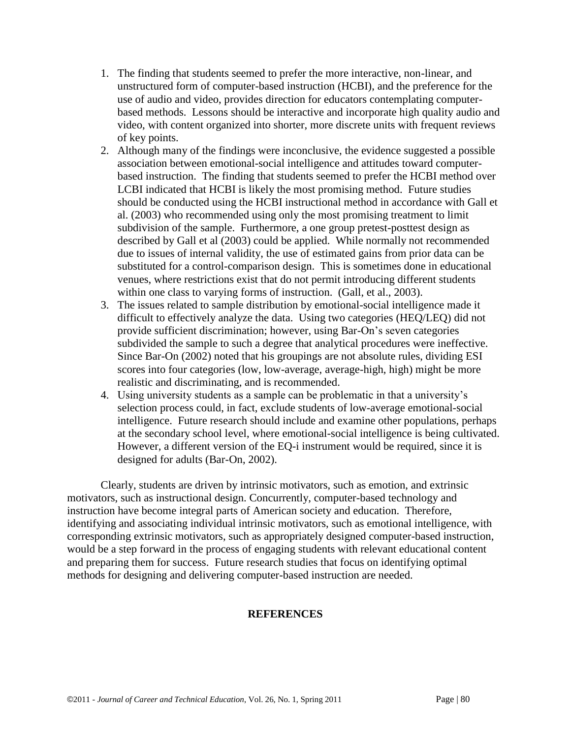- 1. The finding that students seemed to prefer the more interactive, non-linear, and unstructured form of computer-based instruction (HCBI), and the preference for the use of audio and video, provides direction for educators contemplating computerbased methods. Lessons should be interactive and incorporate high quality audio and video, with content organized into shorter, more discrete units with frequent reviews of key points.
- 2. Although many of the findings were inconclusive, the evidence suggested a possible association between emotional-social intelligence and attitudes toward computerbased instruction. The finding that students seemed to prefer the HCBI method over LCBI indicated that HCBI is likely the most promising method. Future studies should be conducted using the HCBI instructional method in accordance with Gall et al. (2003) who recommended using only the most promising treatment to limit subdivision of the sample. Furthermore, a one group pretest-posttest design as described by Gall et al (2003) could be applied. While normally not recommended due to issues of internal validity, the use of estimated gains from prior data can be substituted for a control-comparison design. This is sometimes done in educational venues, where restrictions exist that do not permit introducing different students within one class to varying forms of instruction. (Gall, et al., 2003).
- 3. The issues related to sample distribution by emotional-social intelligence made it difficult to effectively analyze the data. Using two categories (HEQ/LEQ) did not provide sufficient discrimination; however, using Bar-On's seven categories subdivided the sample to such a degree that analytical procedures were ineffective. Since Bar-On (2002) noted that his groupings are not absolute rules, dividing ESI scores into four categories (low, low-average, average-high, high) might be more realistic and discriminating, and is recommended.
- 4. Using university students as a sample can be problematic in that a university's selection process could, in fact, exclude students of low-average emotional-social intelligence. Future research should include and examine other populations, perhaps at the secondary school level, where emotional-social intelligence is being cultivated. However, a different version of the EQ-i instrument would be required, since it is designed for adults (Bar-On, 2002).

Clearly, students are driven by intrinsic motivators, such as emotion, and extrinsic motivators, such as instructional design. Concurrently, computer-based technology and instruction have become integral parts of American society and education. Therefore, identifying and associating individual intrinsic motivators, such as emotional intelligence, with corresponding extrinsic motivators, such as appropriately designed computer-based instruction, would be a step forward in the process of engaging students with relevant educational content and preparing them for success. Future research studies that focus on identifying optimal methods for designing and delivering computer-based instruction are needed.

#### **REFERENCES**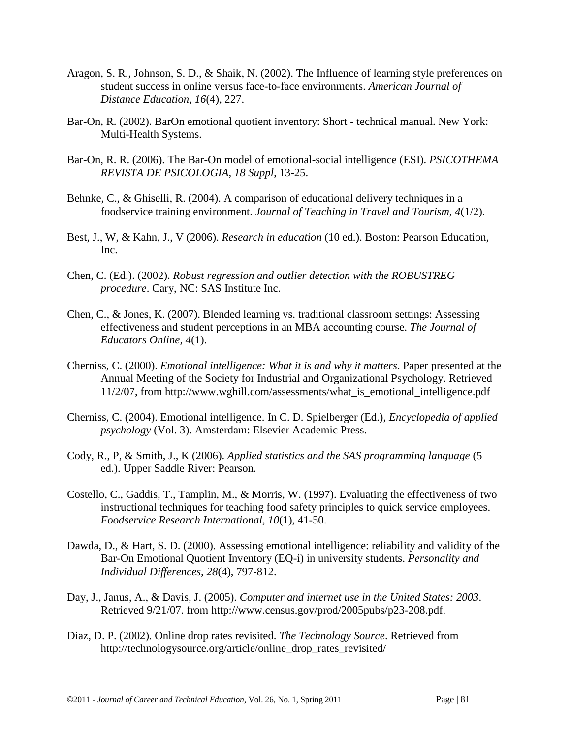- Aragon, S. R., Johnson, S. D., & Shaik, N. (2002). The Influence of learning style preferences on student success in online versus face-to-face environments. *American Journal of Distance Education, 16*(4), 227.
- Bar-On, R. (2002). BarOn emotional quotient inventory: Short technical manual. New York: Multi-Health Systems.
- Bar-On, R. R. (2006). The Bar-On model of emotional-social intelligence (ESI). *PSICOTHEMA REVISTA DE PSICOLOGIA, 18 Suppl*, 13-25.
- Behnke, C., & Ghiselli, R. (2004). A comparison of educational delivery techniques in a foodservice training environment. *Journal of Teaching in Travel and Tourism, 4*(1/2).
- Best, J., W, & Kahn, J., V (2006). *Research in education* (10 ed.). Boston: Pearson Education, Inc.
- Chen, C. (Ed.). (2002). *Robust regression and outlier detection with the ROBUSTREG procedure*. Cary, NC: SAS Institute Inc.
- Chen, C., & Jones, K. (2007). Blended learning vs. traditional classroom settings: Assessing effectiveness and student perceptions in an MBA accounting course. *The Journal of Educators Online, 4*(1).
- Cherniss, C. (2000). *Emotional intelligence: What it is and why it matters*. Paper presented at the Annual Meeting of the Society for Industrial and Organizational Psychology. Retrieved 11/2/07, from http://www.wghill.com/assessments/what\_is\_emotional\_intelligence.pdf
- Cherniss, C. (2004). Emotional intelligence. In C. D. Spielberger (Ed.), *Encyclopedia of applied psychology* (Vol. 3). Amsterdam: Elsevier Academic Press.
- Cody, R., P, & Smith, J., K (2006). *Applied statistics and the SAS programming language* (5 ed.). Upper Saddle River: Pearson.
- Costello, C., Gaddis, T., Tamplin, M., & Morris, W. (1997). Evaluating the effectiveness of two instructional techniques for teaching food safety principles to quick service employees. *Foodservice Research International, 10*(1), 41-50.
- Dawda, D., & Hart, S. D. (2000). Assessing emotional intelligence: reliability and validity of the Bar-On Emotional Quotient Inventory (EQ-i) in university students. *Personality and Individual Differences, 28*(4), 797-812.
- Day, J., Janus, A., & Davis, J. (2005). *Computer and internet use in the United States: 2003*. Retrieved 9/21/07. from http://www.census.gov/prod/2005pubs/p23-208.pdf.
- Diaz, D. P. (2002). Online drop rates revisited. *The Technology Source*. Retrieved from http://technologysource.org/article/online\_drop\_rates\_revisited/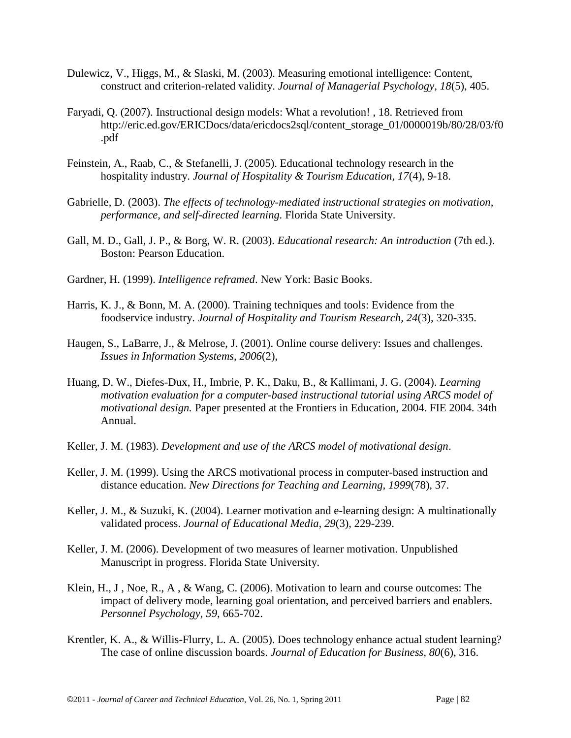- Dulewicz, V., Higgs, M., & Slaski, M. (2003). Measuring emotional intelligence: Content, construct and criterion-related validity. *Journal of Managerial Psychology, 18*(5), 405.
- Faryadi, Q. (2007). Instructional design models: What a revolution! , 18. Retrieved from http://eric.ed.gov/ERICDocs/data/ericdocs2sql/content\_storage\_01/0000019b/80/28/03/f0 .pdf
- Feinstein, A., Raab, C., & Stefanelli, J. (2005). Educational technology research in the hospitality industry. *Journal of Hospitality & Tourism Education, 17*(4), 9-18.
- Gabrielle, D. (2003). *The effects of technology-mediated instructional strategies on motivation, performance, and self-directed learning.* Florida State University.
- Gall, M. D., Gall, J. P., & Borg, W. R. (2003). *Educational research: An introduction* (7th ed.). Boston: Pearson Education.
- Gardner, H. (1999). *Intelligence reframed*. New York: Basic Books.
- Harris, K. J., & Bonn, M. A. (2000). Training techniques and tools: Evidence from the foodservice industry. *Journal of Hospitality and Tourism Research, 24*(3), 320-335.
- Haugen, S., LaBarre, J., & Melrose, J. (2001). Online course delivery: Issues and challenges. *Issues in Information Systems, 2006*(2),
- Huang, D. W., Diefes-Dux, H., Imbrie, P. K., Daku, B., & Kallimani, J. G. (2004). *Learning motivation evaluation for a computer-based instructional tutorial using ARCS model of motivational design.* Paper presented at the Frontiers in Education, 2004. FIE 2004. 34th Annual.
- Keller, J. M. (1983). *Development and use of the ARCS model of motivational design*.
- Keller, J. M. (1999). Using the ARCS motivational process in computer-based instruction and distance education. *New Directions for Teaching and Learning, 1999*(78), 37.
- Keller, J. M., & Suzuki, K. (2004). Learner motivation and e-learning design: A multinationally validated process. *Journal of Educational Media, 29*(3), 229-239.
- Keller, J. M. (2006). Development of two measures of learner motivation. Unpublished Manuscript in progress. Florida State University.
- Klein, H., J , Noe, R., A , & Wang, C. (2006). Motivation to learn and course outcomes: The impact of delivery mode, learning goal orientation, and perceived barriers and enablers. *Personnel Psychology, 59*, 665-702.
- Krentler, K. A., & Willis-Flurry, L. A. (2005). Does technology enhance actual student learning? The case of online discussion boards. *Journal of Education for Business, 80*(6), 316.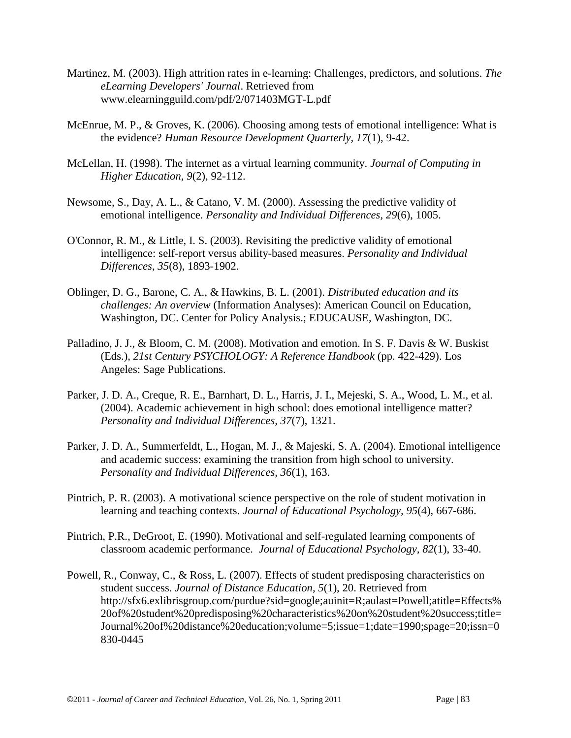- Martinez, M. (2003). High attrition rates in e-learning: Challenges, predictors, and solutions. *The eLearning Developers' Journal*. Retrieved from www.elearningguild.com/pdf/2/071403MGT-L.pdf
- McEnrue, M. P., & Groves, K. (2006). Choosing among tests of emotional intelligence: What is the evidence? *Human Resource Development Quarterly, 17*(1), 9-42.
- McLellan, H. (1998). The internet as a virtual learning community. *Journal of Computing in Higher Education, 9*(2), 92-112.
- Newsome, S., Day, A. L., & Catano, V. M. (2000). Assessing the predictive validity of emotional intelligence. *Personality and Individual Differences, 29*(6), 1005.
- O'Connor, R. M., & Little, I. S. (2003). Revisiting the predictive validity of emotional intelligence: self-report versus ability-based measures. *Personality and Individual Differences, 35*(8), 1893-1902.
- Oblinger, D. G., Barone, C. A., & Hawkins, B. L. (2001). *Distributed education and its challenges: An overview* (Information Analyses): American Council on Education, Washington, DC. Center for Policy Analysis.; EDUCAUSE, Washington, DC.
- Palladino, J. J., & Bloom, C. M. (2008). Motivation and emotion. In S. F. Davis & W. Buskist (Eds.), *21st Century PSYCHOLOGY: A Reference Handbook* (pp. 422-429). Los Angeles: Sage Publications.
- Parker, J. D. A., Creque, R. E., Barnhart, D. L., Harris, J. I., Mejeski, S. A., Wood, L. M., et al. (2004). Academic achievement in high school: does emotional intelligence matter? *Personality and Individual Differences, 37*(7), 1321.
- Parker, J. D. A., Summerfeldt, L., Hogan, M. J., & Majeski, S. A. (2004). Emotional intelligence and academic success: examining the transition from high school to university. *Personality and Individual Differences, 36*(1), 163.
- Pintrich, P. R. (2003). A motivational science perspective on the role of student motivation in learning and teaching contexts. *Journal of Educational Psychology, 95*(4), 667-686.
- Pintrich, P.R., DeGroot, E. (1990). Motivational and self-regulated learning components of classroom academic performance. *Journal of Educational Psychology, 82*(1), 33-40.
- Powell, R., Conway, C., & Ross, L. (2007). Effects of student predisposing characteristics on student success. *Journal of Distance Education, 5*(1), 20. Retrieved from http://sfx6.exlibrisgroup.com/purdue?sid=google;auinit=R;aulast=Powell;atitle=Effects% 20of%20student%20predisposing%20characteristics%20on%20student%20success;title= Journal%20of%20distance%20education;volume=5;issue=1;date=1990;spage=20;issn=0 830-0445